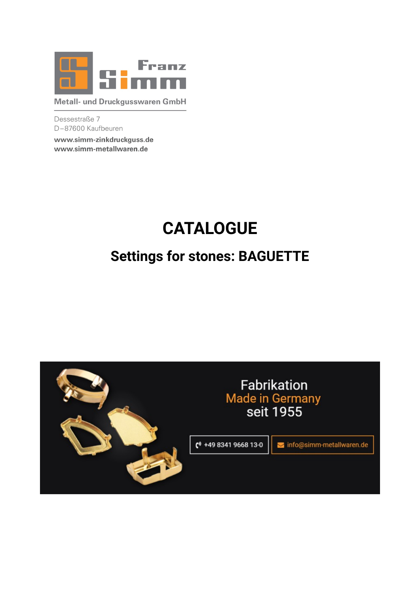

Metall- und Druckgusswaren GmbH

Dessestraße 7 D-87600 Kaufbeuren

www.simm-zinkdruckguss.de www.simm-metallwaren.de

# **CATALOGUE**

# **Settings for stones: BAGUETTE**

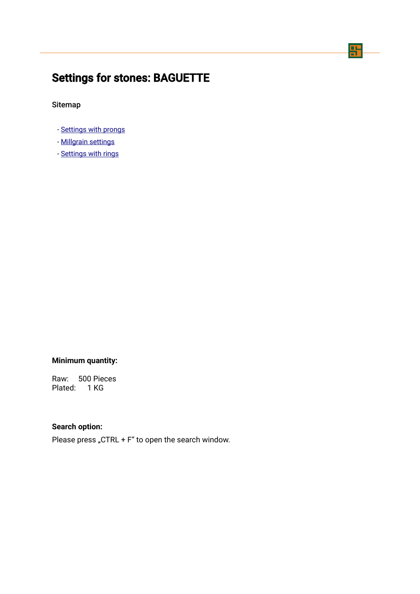## 맊

## <span id="page-1-0"></span>Settings for stones: BAGUETTE

Sitemap

- - [Settings with prongs](#page-2-0)
- - [Millgrain settings](#page-10-0)
- - [Settings with rings](#page-13-0)

## **Minimum quantity:**

Raw: 500 Pieces Plated: 1 KG

### **Search option:**

Please press "CTRL +  $F''$  to open the search window.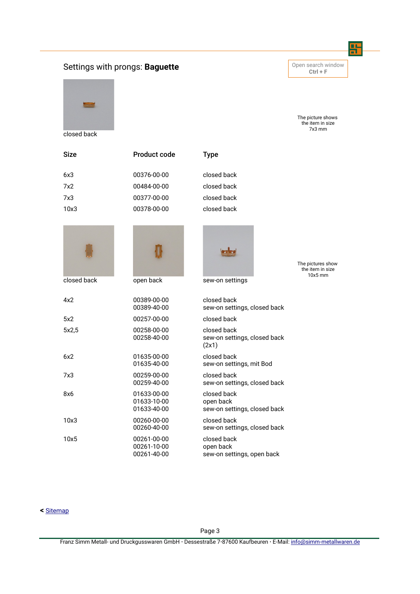## <span id="page-2-0"></span>Settings with prongs: **Baguette Constant Constant Constant Constant Constant Constant Constant Constant Constant Constant Constant Constant Constant Constant Constant Constant Constant Constant Constant Constant Constant**

closed back

**Ctrl + F**

땱

The picture shows the item in size 7x3 mm

| cioseu pack |                                           |                                                          |                                       |
|-------------|-------------------------------------------|----------------------------------------------------------|---------------------------------------|
| Size        | <b>Product code</b>                       | <b>Type</b>                                              |                                       |
| 6x3         | 00376-00-00                               | closed back                                              |                                       |
| 7x2         | 00484-00-00                               | closed back                                              |                                       |
| 7x3         | 00377-00-00                               | closed back                                              |                                       |
| 10x3        | 00378-00-00                               | closed back                                              |                                       |
|             |                                           |                                                          | The pictures show<br>the item in size |
| closed back | open back                                 | sew-on settings                                          | $10x5$ mm                             |
| 4x2         | 00389-00-00<br>00389-40-00                | closed back<br>sew-on settings, closed back              |                                       |
| 5x2         | 00257-00-00                               | closed back                                              |                                       |
| 5x2,5       | 00258-00-00<br>00258-40-00                | closed back<br>sew-on settings, closed back<br>(2x1)     |                                       |
| 6x2         | 01635-00-00<br>01635-40-00                | closed back<br>sew-on settings, mit Bod                  |                                       |
| 7x3         | 00259-00-00<br>00259-40-00                | closed back<br>sew-on settings, closed back              |                                       |
| 8x6         | 01633-00-00<br>01633-10-00<br>01633-40-00 | closed back<br>open back<br>sew-on settings, closed back |                                       |
| 10x3        | 00260-00-00<br>00260-40-00                | closed back<br>sew-on settings, closed back              |                                       |
| 10x5        | 00261-00-00<br>00261-10-00<br>00261-40-00 | closed back<br>open back<br>sew-on settings, open back   |                                       |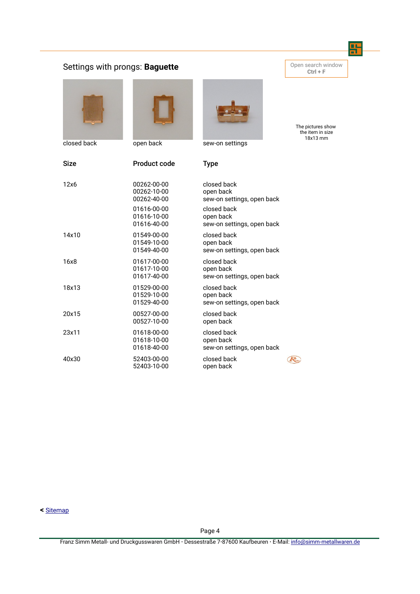## Settings with prongs: **Baguette Company of the Settings with prongs: Baguette City**



closed back open back sew-on settings



| Size  | <b>Product code</b>                       | Type                                                   |  |
|-------|-------------------------------------------|--------------------------------------------------------|--|
| 12x6  | 00262-00-00<br>00262-10-00<br>00262-40-00 | closed back<br>open back<br>sew-on settings, open back |  |
|       | 01616-00-00<br>01616-10-00<br>01616-40-00 | closed back<br>open back<br>sew-on settings, open back |  |
| 14x10 | 01549-00-00<br>01549-10-00<br>01549-40-00 | closed back<br>open back<br>sew-on settings, open back |  |
| 16x8  | 01617-00-00<br>01617-10-00<br>01617-40-00 | closed back<br>open back<br>sew-on settings, open back |  |
| 18x13 | 01529-00-00<br>01529-10-00<br>01529-40-00 | closed back<br>open back<br>sew-on settings, open back |  |
| 20x15 | 00527-00-00<br>00527-10-00                | closed back<br>open back                               |  |
| 23x11 | 01618-00-00<br>01618-10-00<br>01618-40-00 | closed back<br>open back<br>sew-on settings, open back |  |
| 40x30 | 52403-00-00<br>52403-10-00                | closed back<br>open back                               |  |

**<** [Sitemap](#page-1-0)

Page 4

**Ctrl + F**

땱

The pictures show the item in size 18x13 mm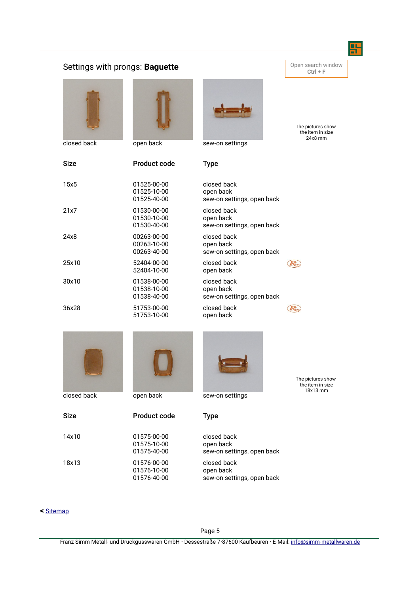#### 팕 Settings with prongs: **Baguette Constant Constant Constant Open search window Ctrl + F** The pictures show the item in size 24x8 mm closed back open back sew-on settings Size Product code Type 15x5 01525-00-00 closed back 01525-10-00 open back 01525-40-00 sew-on settings, open back 21x7 01530-00-00 closed back 01530-10-00 open back 01530-40-00 sew-on settings, open back 24x8 00263-00-00 closed back 00263-10-00 open back 00263-40-00 sew-on settings, open back 25x10 52404-00-00 closed back  $\bigcirc$ 52404-10-00 open back 30x10 01538-00-00 closed back 01538-10-00 open back 01538-40-00 sew-on settings, open back 36x28 51753-00-00 closed back  $\left(\overline{\mathcal{R}_{\omega}}\right)$ 51753-10-00 open back





Size **Product code** Type



The pictures show the item in size 18x13 mm

| 14x10 | 01575-00-00 | closed back                |
|-------|-------------|----------------------------|
|       | 01575-10-00 | open back                  |
|       | 01575-40-00 | sew-on settings, open back |
| 18x13 | 01576-00-00 | closed back                |
|       | 01576-10-00 | open back                  |
|       | 01576-40-00 | sew-on settings, open back |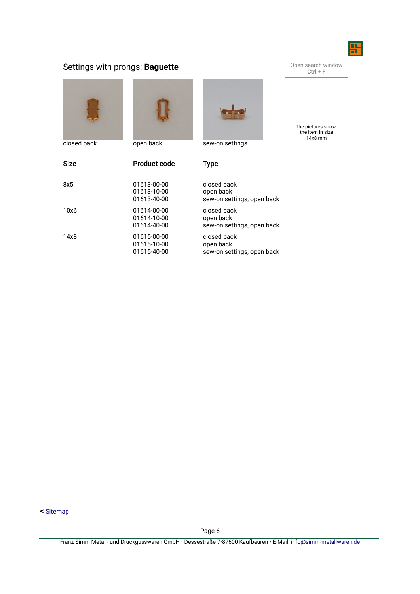## Settings with prongs: **Baguette Company of the Settings with prongs: Baguette City**





**Ctrl + F**

땲

The pictures show the item in size 14x8 mm

closed back open back sew-on settings

| <b>Size</b> | Product code                              | Type                                                   |
|-------------|-------------------------------------------|--------------------------------------------------------|
| 8x5         | 01613-00-00<br>01613-10-00<br>01613-40-00 | closed back<br>open back<br>sew-on settings, open back |
| 10x6        | 01614-00-00<br>01614-10-00<br>01614-40-00 | closed back<br>open back<br>sew-on settings, open back |
| 14x8        | 01615-00-00<br>01615-10-00<br>01615-40-00 | closed back<br>open back<br>sew-on settings, open back |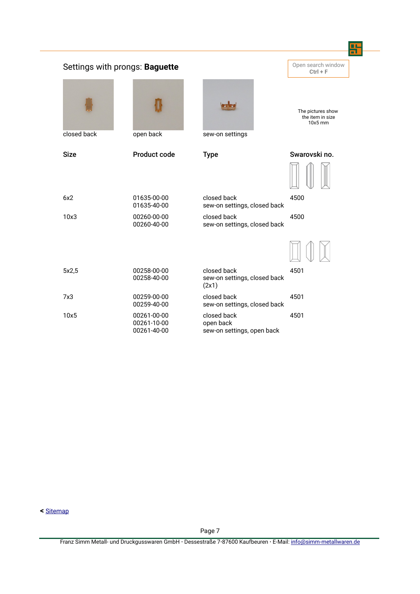|             | Settings with prongs: Baguette            |                                                        | Open search window<br>$Ctrl + F$                   |
|-------------|-------------------------------------------|--------------------------------------------------------|----------------------------------------------------|
| closed back | open back                                 | sew-on settings                                        | The pictures show<br>the item in size<br>$10x5$ mm |
| <b>Size</b> | <b>Product code</b>                       | <b>Type</b>                                            | Swarovski no.                                      |
|             |                                           |                                                        |                                                    |
| 6x2         | 01635-00-00<br>01635-40-00                | closed back<br>sew-on settings, closed back            | 4500                                               |
| 10x3        | 00260-00-00<br>00260-40-00                | closed back<br>sew-on settings, closed back            | 4500                                               |
|             |                                           |                                                        |                                                    |
| 5x2,5       | 00258-00-00<br>00258-40-00                | closed back<br>sew-on settings, closed back<br>(2x1)   | 4501                                               |
| 7x3         | 00259-00-00<br>00259-40-00                | closed back<br>sew-on settings, closed back            | 4501                                               |
| 10x5        | 00261-00-00<br>00261-10-00<br>00261-40-00 | closed back<br>open back<br>sew-on settings, open back | 4501                                               |

œ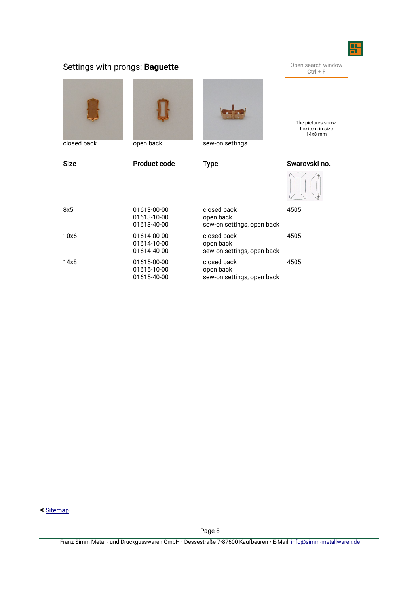| Open search window<br>Settings with prongs: Baguette<br>$Ctrl + F$ |                                           |                                                        |                                                  |  |
|--------------------------------------------------------------------|-------------------------------------------|--------------------------------------------------------|--------------------------------------------------|--|
| closed back                                                        | open back                                 | sew-on settings                                        | The pictures show<br>the item in size<br>14x8 mm |  |
| <b>Size</b>                                                        | Product code                              | <b>Type</b>                                            | Swarovski no.                                    |  |
|                                                                    |                                           |                                                        |                                                  |  |
| 8x5                                                                | 01613-00-00<br>01613-10-00<br>01613-40-00 | closed back<br>open back<br>sew-on settings, open back | 4505                                             |  |
| 10x6                                                               | 01614-00-00<br>01614-10-00<br>01614-40-00 | closed back<br>open back<br>sew-on settings, open back | 4505                                             |  |
| 14x8                                                               | 01615-00-00<br>01615-10-00<br>01615-40-00 | closed back<br>open back<br>sew-on settings, open back | 4505                                             |  |

**COL**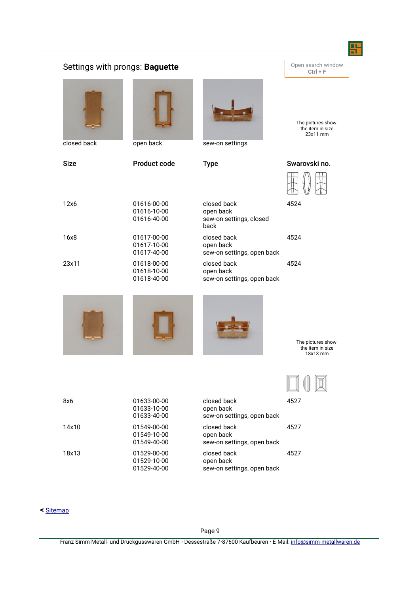|             | Settings with prongs: Baguette            |                                                             | Open search window<br>$Ctrl + F$                  |
|-------------|-------------------------------------------|-------------------------------------------------------------|---------------------------------------------------|
| closed back |                                           |                                                             | The pictures show<br>the item in size<br>23x11 mm |
|             | open back                                 | sew-on settings                                             |                                                   |
| <b>Size</b> | <b>Product code</b>                       | <b>Type</b>                                                 | Swarovski no.                                     |
| 12x6        | 01616-00-00<br>01616-10-00<br>01616-40-00 | closed back<br>open back<br>sew-on settings, closed<br>back | 4524                                              |
| 16x8        | 01617-00-00<br>01617-10-00<br>01617-40-00 | closed back<br>open back<br>sew-on settings, open back      | 4524                                              |
| 23x11       | 01618-00-00<br>01618-10-00<br>01618-40-00 | closed back<br>open back<br>sew-on settings, open back      | 4524                                              |
|             |                                           |                                                             | The pictures show<br>the item in size<br>18x13 mm |
|             |                                           |                                                             |                                                   |
| 8x6         | 01633-00-00<br>01633-10-00<br>01633-40-00 | closed back<br>open back<br>sew-on settings, open back      | 4527                                              |
| 14x10       | 01549-00-00<br>01549-10-00<br>01549-40-00 | closed back<br>open back<br>sew-on settings, open back      | 4527                                              |
| 18x13       | 01529-00-00<br>01529-10-00                | closed back<br>open back<br>sew-on settings, open back      | 4527                                              |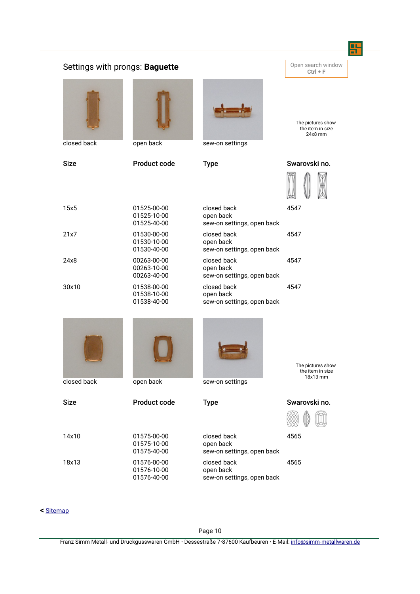|             | Settings with prongs: Baguette            |                                                        | Open search window<br>$Ctrl + F$                   |
|-------------|-------------------------------------------|--------------------------------------------------------|----------------------------------------------------|
| closed back | open back                                 | sew-on settings                                        | The pictures show<br>the item in size<br>$24x8$ mm |
| <b>Size</b> | Product code                              | <b>Type</b>                                            | Swarovski no.                                      |
|             |                                           |                                                        |                                                    |
| 15x5        | 01525-00-00<br>01525-10-00<br>01525-40-00 | closed back<br>open back<br>sew-on settings, open back | 4547                                               |
| 21x7        | 01530-00-00<br>01530-10-00<br>01530-40-00 | closed back<br>open back<br>sew-on settings, open back | 4547                                               |
| 24x8        | 00263-00-00<br>00263-10-00<br>00263-40-00 | closed back<br>open back<br>sew-on settings, open back | 4547                                               |
| 30x10       | 01538-00-00<br>01538-10-00<br>01538-40-00 | closed back<br>open back<br>sew-on settings, open back | 4547                                               |
|             |                                           |                                                        | The pictures show<br>the item in size<br>18x13 mm  |
| closed back | open back                                 | sew-on settings                                        |                                                    |
| <b>Size</b> | Product code                              | <b>Type</b>                                            | Swarovski no.                                      |
| 14x10       | 01575-00-00<br>01575-10-00<br>01575-40-00 | closed back<br>open back<br>sew-on settings, open back | 4565                                               |
| 18x13       | 01576-00-00<br>01576-10-00<br>01576-40-00 | closed back<br>open back<br>sew-on settings, open back | 4565                                               |

### **<** [Sitemap](#page-1-0)

Page 10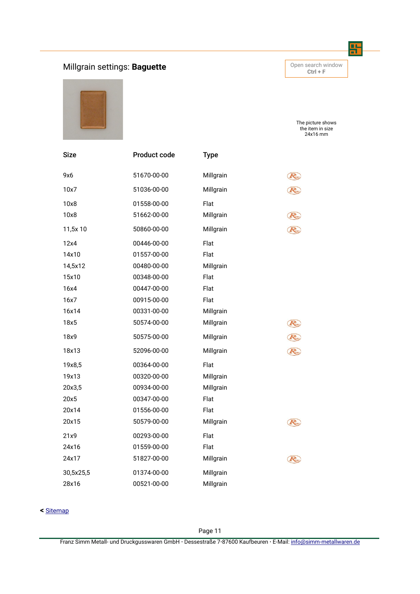## <span id="page-10-0"></span>**Millgrain settings: Baguette Company of the Search Window** Open search window

**Ctrl + F**

땱



The picture shows the item in size 24x16 mm

| <b>Size</b> | Product code | <b>Type</b> |    |
|-------------|--------------|-------------|----|
| 9x6         | 51670-00-00  | Millgrain   |    |
| 10x7        | 51036-00-00  | Millgrain   |    |
| 10x8        | 01558-00-00  | Flat        |    |
| 10x8        | 51662-00-00  | Millgrain   |    |
| 11,5x 10    | 50860-00-00  | Millgrain   |    |
| 12x4        | 00446-00-00  | Flat        |    |
| 14x10       | 01557-00-00  | Flat        |    |
| 14,5x12     | 00480-00-00  | Millgrain   |    |
| 15x10       | 00348-00-00  | Flat        |    |
| 16x4        | 00447-00-00  | Flat        |    |
| 16x7        | 00915-00-00  | Flat        |    |
| 16x14       | 00331-00-00  | Millgrain   |    |
| 18x5        | 50574-00-00  | Millgrain   | R. |
| 18x9        | 50575-00-00  | Millgrain   | R. |
| 18x13       | 52096-00-00  | Millgrain   | R  |
| 19x8,5      | 00364-00-00  | Flat        |    |
| 19x13       | 00320-00-00  | Millgrain   |    |
| 20x3,5      | 00934-00-00  | Millgrain   |    |
| 20x5        | 00347-00-00  | Flat        |    |
| 20x14       | 01556-00-00  | Flat        |    |
| 20x15       | 50579-00-00  | Millgrain   | R. |
| 21x9        | 00293-00-00  | Flat        |    |
| 24x16       | 01559-00-00  | Flat        |    |
| 24x17       | 51827-00-00  | Millgrain   | R. |
| 30,5x25,5   | 01374-00-00  | Millgrain   |    |
| 28x16       | 00521-00-00  | Millgrain   |    |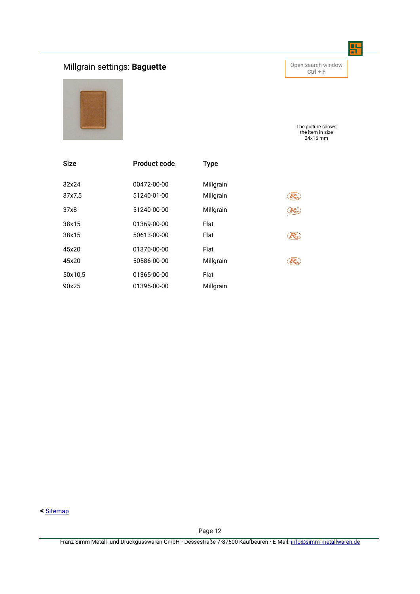## **Millgrain settings: Baguette Company of the Search Window** Open search window

**Ctrl + F**

땲



The picture shows the item in size 24x16 mm

| <b>Size</b> | <b>Product code</b> | <b>Type</b> |    |
|-------------|---------------------|-------------|----|
| 32x24       | 00472-00-00         | Millgrain   | R  |
| 37x7,5      | 51240-01-00         | Millgrain   |    |
| 37x8        | 51240-00-00         | Millgrain   | R  |
| 38x15       | 01369-00-00         | Flat        | K. |
| 38x15       | 50613-00-00         | Flat        |    |
| 45x20       | 01370-00-00         | Flat        | K. |
| 45x20       | 50586-00-00         | Millgrain   |    |
| 50x10,5     | 01365-00-00         | Flat        |    |
| 90x25       | 01395-00-00         | Millgrain   |    |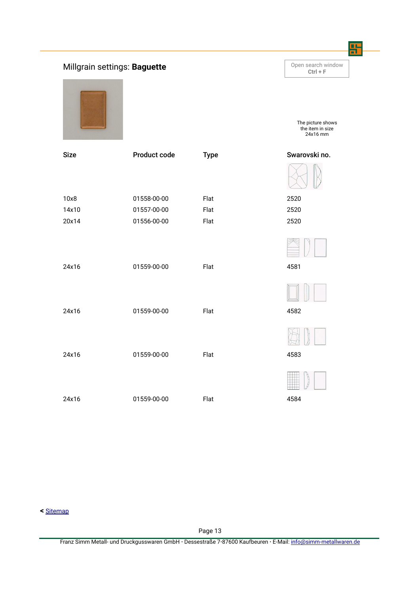## **Millgrain settings: Baguette Constant of the Constant of Constant of August 2014 Findow**

10x8 01558-00-00 Flat 2520 14x10 01557-00-00 Flat 2520 20x14 01556-00-00 Flat 2520 24x16 01559-00-00 Flat 4581 24x16 01559-00-00 Flat 4582 24x16 01559-00-00 Flat 4583

**Ctrl + F**

땱

The picture shows the item in size 24x16 mm

## Size **Product code** Type Swarovski no.











**<** [Sitemap](#page-1-0)

Page 13

Franz Simm Metall- und Druckgusswaren GmbH **·** Dessestraße 7**·**87600 Kaufbeuren **·** E-Mail: [info@simm-metallwaren.de](mailto:info@simm-metallwaren.de)